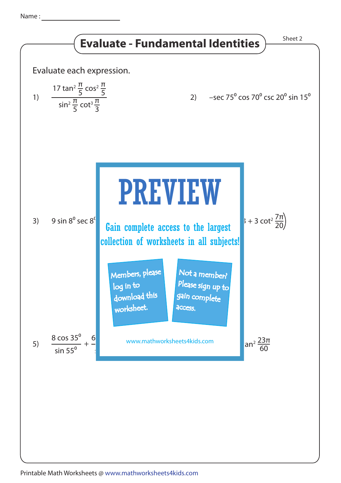